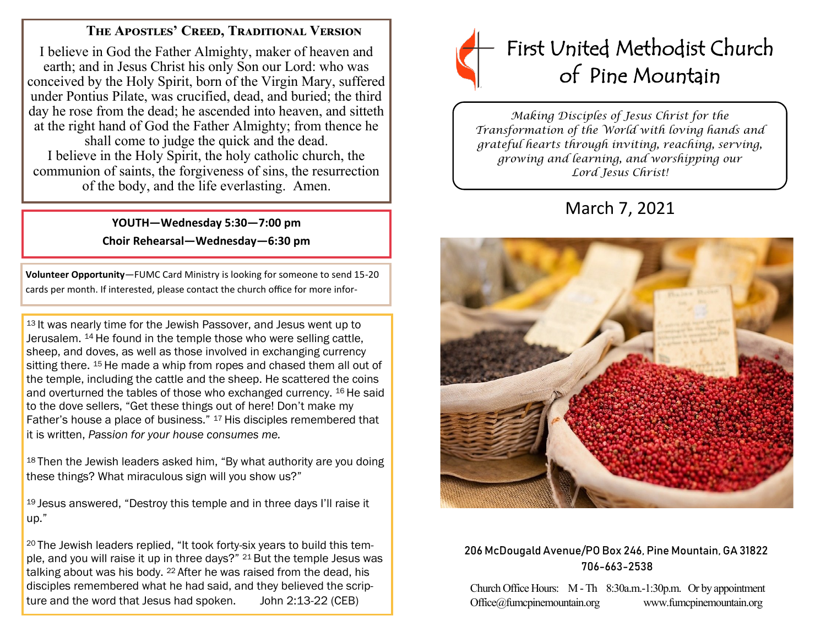# **The Apostles' Creed, Traditional Version**

I believe in God the Father Almighty, maker of heaven and earth; and in Jesus Christ his only Son our Lord: who was conceived by the Holy Spirit, born of the Virgin Mary, suffered under Pontius Pilate, was crucified, dead, and buried; the third day he rose from the dead; he ascended into heaven, and sitteth at the right hand of God the Father Almighty; from thence he shall come to judge the quick and the dead. I believe in the Holy Spirit, the holy catholic church, the communion of saints, the forgiveness of sins, the resurrection of the body, and the life everlasting. Amen.

# **YOUTH—Wednesday 5:30—7:00 pm Choir Rehearsal—Wednesday—6:30 pm**

**Volunteer Opportunity**—FUMC Card Ministry is looking for someone to send 15-20 cards per month. If interested, please contact the church office for more infor-

13 It was nearly time for the Jewish Passover, and Jesus went up to Jerusalem. <sup>14</sup> He found in the temple those who were selling cattle, sheep, and doves, as well as those involved in exchanging currency sitting there. <sup>15</sup> He made a whip from ropes and chased them all out of the temple, including the cattle and the sheep. He scattered the coins and overturned the tables of those who exchanged currency. <sup>16</sup> He said to the dove sellers, "Get these things out of here! Don't make my Father's house a place of business." <sup>17</sup> His disciples remembered that it is written, *Passion for your house consumes me.*

<sup>18</sup> Then the Jewish leaders asked him, "By what authority are you doing these things? What miraculous sign will you show us?"

<sup>19</sup> Jesus answered, "Destroy this temple and in three days I'll raise it up."

<sup>20</sup> The Jewish leaders replied, "It took forty-six years to build this temple, and you will raise it up in three days?" <sup>21</sup> But the temple Jesus was talking about was his body. <sup>22</sup> After he was raised from the dead, his disciples remembered what he had said, and they believed the scripture and the word that Jesus had spoken. John 2:13-22 (CEB)



*Making Disciples of Jesus Christ for the Transformation of the World with loving hands and grateful hearts through inviting, reaching, serving, growing and learning, and worshipping our Lord Jesus Christ!* 

# March 7, 2021



## 206 McDougald Avenue/PO Box 246, Pine Mountain, GA 31822 706-663-2538

Church Office Hours: M -Th 8:30a.m.-1:30p.m. Or by appointment Office@fumcpinemountain.org www.fumcpinemountain.org